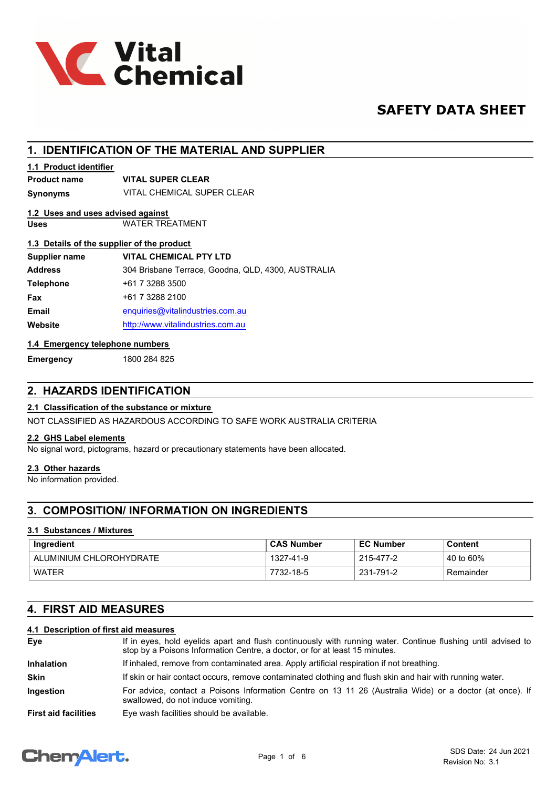

# **SAFETY DATA SHEET**

# **1. IDENTIFICATION OF THE MATERIAL AND SUPPLIER**

### **1.1 Product identifier**

# **Product name VITAL SUPER CLEAR**

**Synonyms** VITAL CHEMICAL SUPER CLEAR

# **1.2 Uses and uses advised against**

**Uses** WATER TREATMENT

## **1.3 Details of the supplier of the product**

| Supplier name    | <b>VITAL CHEMICAL PTY LTD</b>                      |
|------------------|----------------------------------------------------|
| <b>Address</b>   | 304 Brisbane Terrace, Goodna, QLD, 4300, AUSTRALIA |
| <b>Telephone</b> | +61 7 3288 3500                                    |
| <b>Fax</b>       | +61 7 3288 2100                                    |
| <b>Email</b>     | enquiries@vitalindustries.com.au                   |
| Website          | http://www.vitalindustries.com.au                  |
|                  |                                                    |

## **1.4 Emergency telephone numbers**

**Emergency** 1800 284 825

# **2. HAZARDS IDENTIFICATION**

# **2.1 Classification of the substance or mixture**

NOT CLASSIFIED AS HAZARDOUS ACCORDING TO SAFE WORK AUSTRALIA CRITERIA

#### **2.2 GHS Label elements**

No signal word, pictograms, hazard or precautionary statements have been allocated.

#### **2.3 Other hazards**

No information provided.

# **3. COMPOSITION/ INFORMATION ON INGREDIENTS**

#### **3.1 Substances / Mixtures**

| Ingredient              | <b>CAS Number</b> | <b>EC Number</b> | Content                 |
|-------------------------|-------------------|------------------|-------------------------|
| ALUMINIUM CHLOROHYDRATE | 1327-41-9         | 215-477-2        | $\frac{1}{2}$ 40 to 60% |
| WATER                   | 7732-18-5         | 231-791-2        | Remainder               |

# **4. FIRST AID MEASURES**

## **4.1 Description of first aid measures**

| Eye                         | If in eyes, hold eyelids apart and flush continuously with running water. Continue flushing until advised to<br>stop by a Poisons Information Centre, a doctor, or for at least 15 minutes. |
|-----------------------------|---------------------------------------------------------------------------------------------------------------------------------------------------------------------------------------------|
| <b>Inhalation</b>           | If inhaled, remove from contaminated area. Apply artificial respiration if not breathing.                                                                                                   |
| <b>Skin</b>                 | If skin or hair contact occurs, remove contaminated clothing and flush skin and hair with running water.                                                                                    |
| <b>Ingestion</b>            | For advice, contact a Poisons Information Centre on 13 11 26 (Australia Wide) or a doctor (at once). If<br>swallowed, do not induce vomiting.                                               |
| <b>First aid facilities</b> | Eye wash facilities should be available.                                                                                                                                                    |

# **ChemAlert.**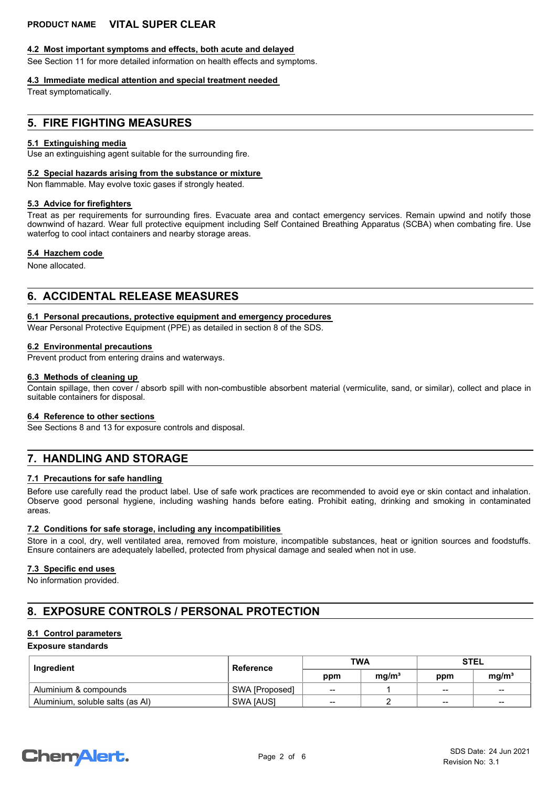#### **4.2 Most important symptoms and effects, both acute and delayed**

See Section 11 for more detailed information on health effects and symptoms.

#### **4.3 Immediate medical attention and special treatment needed**

Treat symptomatically.

## **5. FIRE FIGHTING MEASURES**

#### **5.1 Extinguishing media**

Use an extinguishing agent suitable for the surrounding fire.

#### **5.2 Special hazards arising from the substance or mixture**

Non flammable. May evolve toxic gases if strongly heated.

#### **5.3 Advice for firefighters**

Treat as per requirements for surrounding fires. Evacuate area and contact emergency services. Remain upwind and notify those downwind of hazard. Wear full protective equipment including Self Contained Breathing Apparatus (SCBA) when combating fire. Use waterfog to cool intact containers and nearby storage areas.

#### **5.4 Hazchem code**

None allocated.

# **6. ACCIDENTAL RELEASE MEASURES**

#### **6.1 Personal precautions, protective equipment and emergency procedures**

Wear Personal Protective Equipment (PPE) as detailed in section 8 of the SDS.

#### **6.2 Environmental precautions**

Prevent product from entering drains and waterways.

#### **6.3 Methods of cleaning up**

Contain spillage, then cover / absorb spill with non-combustible absorbent material (vermiculite, sand, or similar), collect and place in suitable containers for disposal.

#### **6.4 Reference to other sections**

See Sections 8 and 13 for exposure controls and disposal.

# **7. HANDLING AND STORAGE**

#### **7.1 Precautions for safe handling**

Before use carefully read the product label. Use of safe work practices are recommended to avoid eye or skin contact and inhalation. Observe good personal hygiene, including washing hands before eating. Prohibit eating, drinking and smoking in contaminated areas.

#### **7.2 Conditions for safe storage, including any incompatibilities**

Store in a cool, dry, well ventilated area, removed from moisture, incompatible substances, heat or ignition sources and foodstuffs. Ensure containers are adequately labelled, protected from physical damage and sealed when not in use.

#### **7.3 Specific end uses**

No information provided.

# **8. EXPOSURE CONTROLS / PERSONAL PROTECTION**

#### **8.1 Control parameters**

#### **Exposure standards**

| Ingredient                       | Reference        | <b>TWA</b> |                   | <b>STEL</b>              |                   |
|----------------------------------|------------------|------------|-------------------|--------------------------|-------------------|
|                                  |                  | ppm        | mq/m <sup>3</sup> | ppm                      | mq/m <sup>3</sup> |
| Aluminium & compounds            | SWA [Proposed]   | $-$        |                   | $\overline{\phantom{a}}$ | $-$               |
| Aluminium, soluble salts (as AI) | <b>SWA JAUSI</b> | --         |                   | $-$                      | $-$               |

# **ChemAlert.**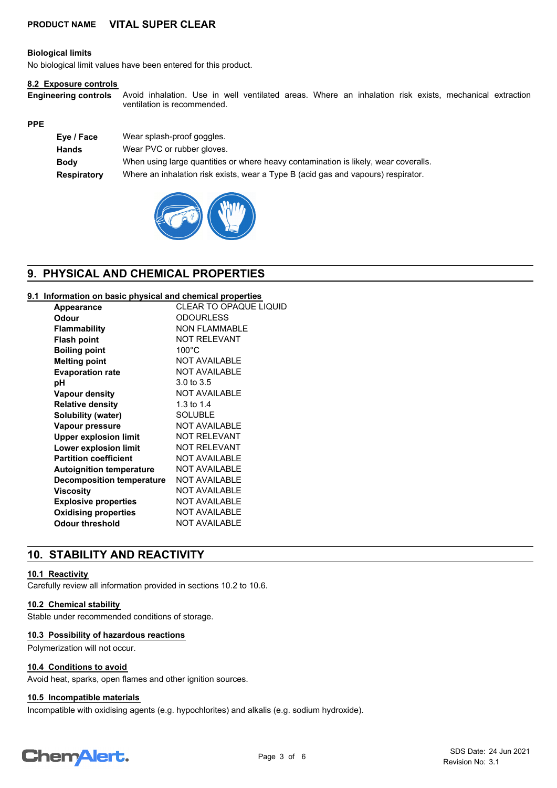#### **Biological limits**

No biological limit values have been entered for this product.

#### **8.2 Exposure controls**

**Engineering controls**

Avoid inhalation. Use in well ventilated areas. Where an inhalation risk exists, mechanical extraction ventilation is recommended.

#### **PPE**

| Eye / Face         | Wear splash-proof goggles.                                                          |
|--------------------|-------------------------------------------------------------------------------------|
| <b>Hands</b>       | Wear PVC or rubber gloves.                                                          |
| <b>Body</b>        | When using large quantities or where heavy contamination is likely, wear coveralls. |
| <b>Respiratory</b> | Where an inhalation risk exists, wear a Type B (acid gas and vapours) respirator.   |



# **9. PHYSICAL AND CHEMICAL PROPERTIES**

#### **9.1 Information on basic physical and chemical properties**

| Appearance                       | <b>CLEAR TO OPAQUE LIQUID</b> |
|----------------------------------|-------------------------------|
| Odour                            | <b>ODOURLESS</b>              |
| <b>Flammability</b>              | <b>NON FLAMMABLE</b>          |
| <b>Flash point</b>               | <b>NOT RELEVANT</b>           |
| <b>Boiling point</b>             | $100^{\circ}$ C               |
| <b>Melting point</b>             | <b>NOT AVAILABLE</b>          |
| <b>Evaporation rate</b>          | <b>NOT AVAILABLE</b>          |
| рH                               | 3.0 to 3.5                    |
| <b>Vapour density</b>            | <b>NOT AVAILABLE</b>          |
| <b>Relative density</b>          | 1.3 to 1.4                    |
| Solubility (water)               | <b>SOLUBLE</b>                |
| Vapour pressure                  | <b>NOT AVAILABLE</b>          |
| <b>Upper explosion limit</b>     | <b>NOT RELEVANT</b>           |
| <b>Lower explosion limit</b>     | <b>NOT RELEVANT</b>           |
| <b>Partition coefficient</b>     | <b>NOT AVAILABLE</b>          |
| <b>Autoignition temperature</b>  | <b>NOT AVAILABLE</b>          |
| <b>Decomposition temperature</b> | <b>NOT AVAILABLE</b>          |
| Viscosity                        | <b>NOT AVAILABLE</b>          |
| <b>Explosive properties</b>      | <b>NOT AVAILABLE</b>          |
| <b>Oxidising properties</b>      | <b>NOT AVAILABLE</b>          |
| <b>Odour threshold</b>           | <b>NOT AVAILABLE</b>          |
|                                  |                               |

# **10. STABILITY AND REACTIVITY**

#### **10.1 Reactivity**

Carefully review all information provided in sections 10.2 to 10.6.

#### **10.2 Chemical stability**

Stable under recommended conditions of storage.

#### **10.3 Possibility of hazardous reactions**

Polymerization will not occur.

#### **10.4 Conditions to avoid**

Avoid heat, sparks, open flames and other ignition sources.

#### **10.5 Incompatible materials**

Incompatible with oxidising agents (e.g. hypochlorites) and alkalis (e.g. sodium hydroxide).

# **ChemAlert.**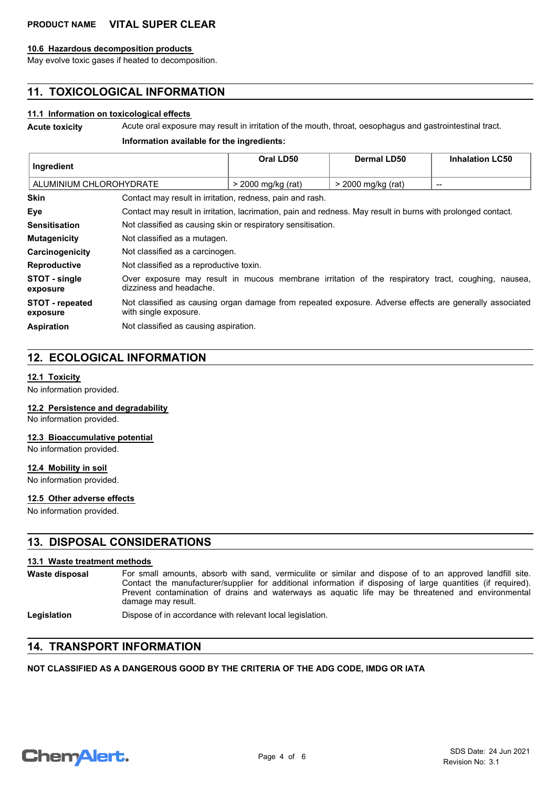#### **10.6 Hazardous decomposition products**

May evolve toxic gases if heated to decomposition.

# **11. TOXICOLOGICAL INFORMATION**

#### **11.1 Information on toxicological effects**

**Acute toxicity** Acute oral exposure may result in irritation of the mouth, throat, oesophagus and gastrointestinal tract.

#### **Information available for the ingredients:**

| Ingredient                  |                                                                                                                                  | Oral LD50          | <b>Dermal LD50</b> | <b>Inhalation LC50</b>   |
|-----------------------------|----------------------------------------------------------------------------------------------------------------------------------|--------------------|--------------------|--------------------------|
| ALUMINIUM CHLOROHYDRATE     |                                                                                                                                  | > 2000 mg/kg (rat) | > 2000 mg/kg (rat) | $\overline{\phantom{a}}$ |
| <b>Skin</b>                 | Contact may result in irritation, redness, pain and rash.                                                                        |                    |                    |                          |
| Eye                         | Contact may result in irritation, lacrimation, pain and redness. May result in burns with prolonged contact.                     |                    |                    |                          |
| <b>Sensitisation</b>        | Not classified as causing skin or respiratory sensitisation.                                                                     |                    |                    |                          |
| <b>Mutagenicity</b>         | Not classified as a mutagen.                                                                                                     |                    |                    |                          |
| Carcinogenicity             | Not classified as a carcinogen.                                                                                                  |                    |                    |                          |
| <b>Reproductive</b>         | Not classified as a reproductive toxin.                                                                                          |                    |                    |                          |
| STOT - single<br>exposure   | Over exposure may result in mucous membrane irritation of the respiratory tract, coughing, nausea,<br>dizziness and headache.    |                    |                    |                          |
| STOT - repeated<br>exposure | Not classified as causing organ damage from repeated exposure. Adverse effects are generally associated<br>with single exposure. |                    |                    |                          |
| <b>Aspiration</b>           | Not classified as causing aspiration.                                                                                            |                    |                    |                          |

# **12. ECOLOGICAL INFORMATION**

#### **12.1 Toxicity**

No information provided.

#### **12.2 Persistence and degradability**

No information provided.

#### **12.3 Bioaccumulative potential**

No information provided.

#### **12.4 Mobility in soil**

No information provided.

#### **12.5 Other adverse effects**

No information provided.

## **13. DISPOSAL CONSIDERATIONS**

#### **13.1 Waste treatment methods**

For small amounts, absorb with sand, vermiculite or similar and dispose of to an approved landfill site. Contact the manufacturer/supplier for additional information if disposing of large quantities (if required). Prevent contamination of drains and waterways as aquatic life may be threatened and environmental damage may result. **Waste disposal**

Legislation **Dispose of in accordance with relevant local legislation.** 

## **14. TRANSPORT INFORMATION**

#### **NOT CLASSIFIED AS A DANGEROUS GOOD BY THE CRITERIA OF THE ADG CODE, IMDG OR IATA**

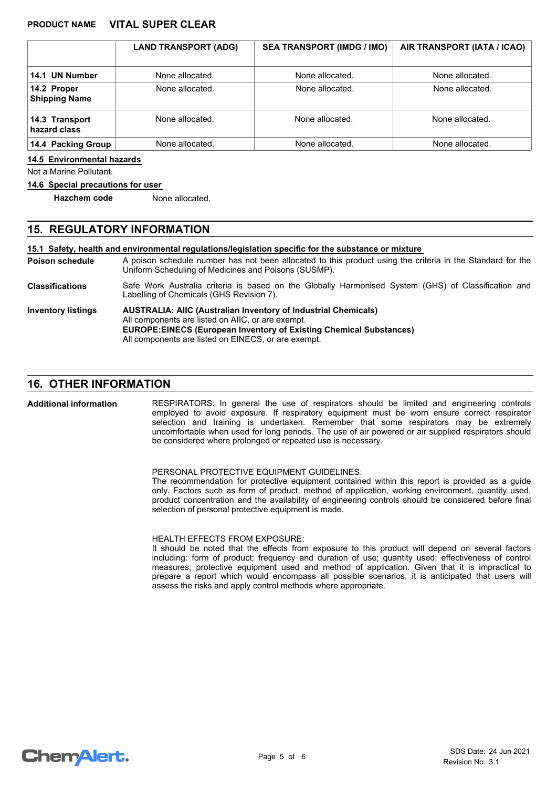|                                     | <b>LAND TRANSPORT (ADG)</b> | <b>SEA TRANSPORT (IMDG / IMO)</b> | AIR TRANSPORT (IATA / ICAO) |
|-------------------------------------|-----------------------------|-----------------------------------|-----------------------------|
| 14.1 UN Number                      | None allocated.             | None allocated.                   | None allocated.             |
| 14.2 Proper<br><b>Shipping Name</b> | None allocated.             | None allocated.                   | None allocated.             |
| 14.3 Transport<br>hazard class      | None allocated.             | None allocated.                   | None allocated.             |
| 14.4 Packing Group                  | None allocated.             | None allocated.                   | None allocated.             |

#### **14.5 Environmental hazards**

Not a Marine Pollutant.

#### **14.6 Special precautions for user**

**Hazchem code** None allocated.

# **15. REGULATORY INFORMATION**

**15.1 Safety, health and environmental regulations/legislation specific for the substance or mixture**

- A poison schedule number has not been allocated to this product using the criteria in the Standard for the Uniform Scheduling of Medicines and Poisons (SUSMP). **Poison schedule**
- Safe Work Australia criteria is based on the Globally Harmonised System (GHS) of Classification and Labelling of Chemicals (GHS Revision 7). **Classifications**

**AUSTRALIA: AIIC (Australian Inventory of Industrial Chemicals)** All components are listed on AIIC, or are exempt. **EUROPE:EINECS (European Inventory of Existing Chemical Substances)** All components are listed on EINECS, or are exempt. **Inventory listings**

## **16. OTHER INFORMATION**

**Additional information**

RESPIRATORS: In general the use of respirators should be limited and engineering controls employed to avoid exposure. If respiratory equipment must be worn ensure correct respirator selection and training is undertaken. Remember that some respirators may be extremely uncomfortable when used for long periods. The use of air powered or air supplied respirators should be considered where prolonged or repeated use is necessary.

#### PERSONAL PROTECTIVE EQUIPMENT GUIDELINES:

The recommendation for protective equipment contained within this report is provided as a guide only. Factors such as form of product, method of application, working environment, quantity used, product concentration and the availability of engineering controls should be considered before final selection of personal protective equipment is made.

HEALTH EFFECTS FROM EXPOSURE:

It should be noted that the effects from exposure to this product will depend on several factors including: form of product; frequency and duration of use; quantity used; effectiveness of control measures; protective equipment used and method of application. Given that it is impractical to prepare a report which would encompass all possible scenarios, it is anticipated that users will assess the risks and apply control methods where appropriate.